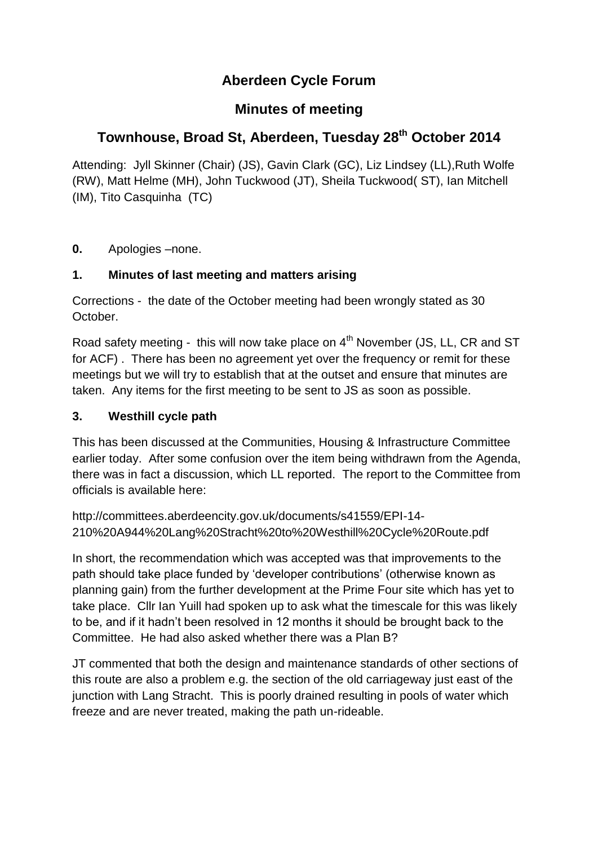# **Aberdeen Cycle Forum**

## **Minutes of meeting**

# **Townhouse, Broad St, Aberdeen, Tuesday 28th October 2014**

Attending: Jyll Skinner (Chair) (JS), Gavin Clark (GC), Liz Lindsey (LL),Ruth Wolfe (RW), Matt Helme (MH), John Tuckwood (JT), Sheila Tuckwood( ST), Ian Mitchell (IM), Tito Casquinha (TC)

**0.** Apologies –none.

### **1. Minutes of last meeting and matters arising**

Corrections - the date of the October meeting had been wrongly stated as 30 October.

Road safety meeting - this will now take place on 4<sup>th</sup> November (JS, LL, CR and ST for ACF) . There has been no agreement yet over the frequency or remit for these meetings but we will try to establish that at the outset and ensure that minutes are taken. Any items for the first meeting to be sent to JS as soon as possible.

### **3. Westhill cycle path**

This has been discussed at the Communities, Housing & Infrastructure Committee earlier today. After some confusion over the item being withdrawn from the Agenda, there was in fact a discussion, which LL reported. The report to the Committee from officials is available here:

```
http://committees.aberdeencity.gov.uk/documents/s41559/EPI-14-
210%20A944%20Lang%20Stracht%20to%20Westhill%20Cycle%20Route.pdf
```
In short, the recommendation which was accepted was that improvements to the path should take place funded by 'developer contributions' (otherwise known as planning gain) from the further development at the Prime Four site which has yet to take place. Cllr Ian Yuill had spoken up to ask what the timescale for this was likely to be, and if it hadn't been resolved in 12 months it should be brought back to the Committee. He had also asked whether there was a Plan B?

JT commented that both the design and maintenance standards of other sections of this route are also a problem e.g. the section of the old carriageway just east of the junction with Lang Stracht. This is poorly drained resulting in pools of water which freeze and are never treated, making the path un-rideable.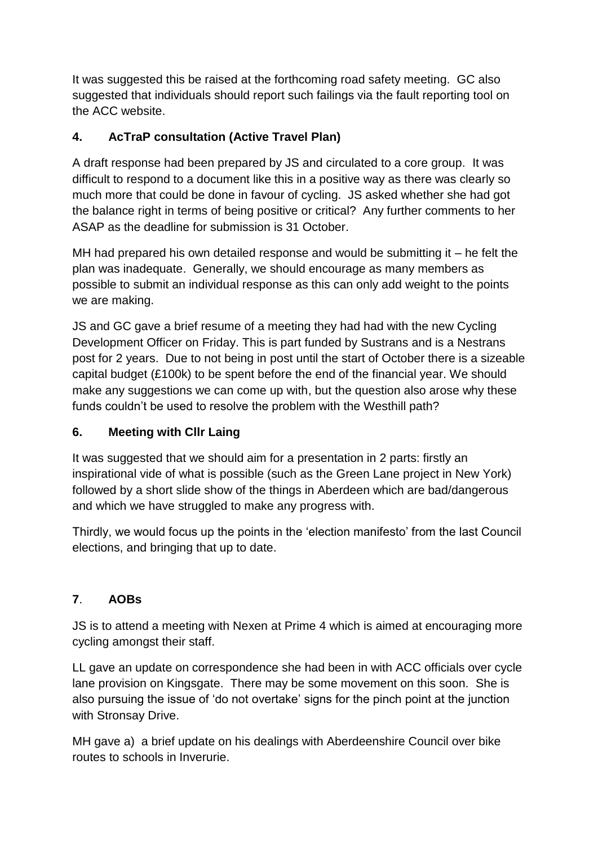It was suggested this be raised at the forthcoming road safety meeting. GC also suggested that individuals should report such failings via the fault reporting tool on the ACC website.

### **4. AcTraP consultation (Active Travel Plan)**

A draft response had been prepared by JS and circulated to a core group. It was difficult to respond to a document like this in a positive way as there was clearly so much more that could be done in favour of cycling. JS asked whether she had got the balance right in terms of being positive or critical? Any further comments to her ASAP as the deadline for submission is 31 October.

MH had prepared his own detailed response and would be submitting it  $-$  he felt the plan was inadequate. Generally, we should encourage as many members as possible to submit an individual response as this can only add weight to the points we are making.

JS and GC gave a brief resume of a meeting they had had with the new Cycling Development Officer on Friday. This is part funded by Sustrans and is a Nestrans post for 2 years. Due to not being in post until the start of October there is a sizeable capital budget (£100k) to be spent before the end of the financial year. We should make any suggestions we can come up with, but the question also arose why these funds couldn't be used to resolve the problem with the Westhill path?

#### **6. Meeting with Cllr Laing**

It was suggested that we should aim for a presentation in 2 parts: firstly an inspirational vide of what is possible (such as the Green Lane project in New York) followed by a short slide show of the things in Aberdeen which are bad/dangerous and which we have struggled to make any progress with.

Thirdly, we would focus up the points in the 'election manifesto' from the last Council elections, and bringing that up to date.

## **7**. **AOBs**

JS is to attend a meeting with Nexen at Prime 4 which is aimed at encouraging more cycling amongst their staff.

LL gave an update on correspondence she had been in with ACC officials over cycle lane provision on Kingsgate. There may be some movement on this soon. She is also pursuing the issue of 'do not overtake' signs for the pinch point at the junction with Stronsay Drive.

MH gave a) a brief update on his dealings with Aberdeenshire Council over bike routes to schools in Inverurie.